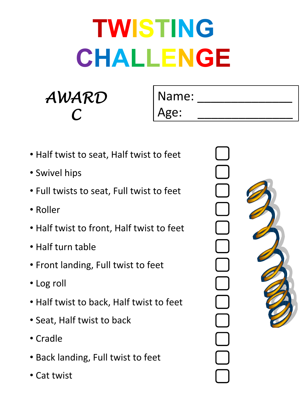*AWARD C* 

Name:

Age:

- Half twist to seat, Half twist to feet
- Swivel hips
- Full twists to seat, Full twist to feet
- • Roller
- Half twist to front, Half twist to feet
- Half turn table
- Front landing, Full twist to feet
- Log roll
- Half twist to back, Half twist to feet
- Seat, Half twist to back
- Cradle
- Back landing, Full twist to feet
- Cat twist

Ξ

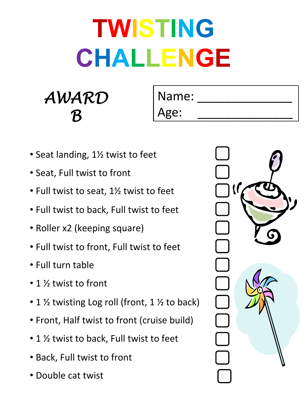#### *AWARD B*

Name: Age:

- Seat landing, 1<sup>1/2</sup> twist to feet
- Seat, Full twist to front
- Full twist to seat, 1½ twist to feet
- Full twist to back, Full twist to feet
- Roller x2 (keeping square)
- Full twist to front, Full twist to feet
- Full turn table
- 1  $\frac{1}{2}$  twist to front
- 1  $\frac{1}{2}$  twisting Log roll (front, 1  $\frac{1}{2}$  to back)
- Front, Half twist to front (cruise build)
- 1  $\frac{1}{2}$  twist to back, Full twist to feet
- Back, Full twist to front
- Double cat twist

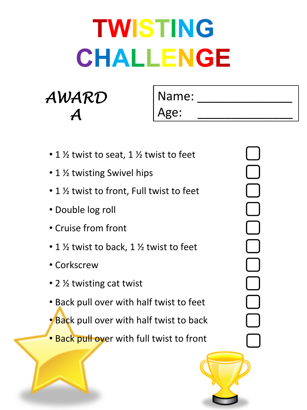| AWARD                      |
|----------------------------|
| $\boldsymbol{\mathcal{A}}$ |

h.

Name: Age:

| • 1 $\frac{1}{2}$ twist to seat, 1 $\frac{1}{2}$ twist to feet |
|----------------------------------------------------------------|
| • 1 1/2 twisting Swivel hips                                   |
| • 1 ½ twist to front, Full twist to feet                       |
| • Double log roll                                              |
| • Cruise from front                                            |
| • 1 $\frac{1}{2}$ twist to back, 1 $\frac{1}{2}$ twist to feet |
| • Corkscrew                                                    |
| • 2 ½ twisting cat twist                                       |
| • Back pull over with half twist to feet                       |
| <b>Back pull over with half twist to back</b> •                |
| • Back pull over with full twist to front                      |
|                                                                |